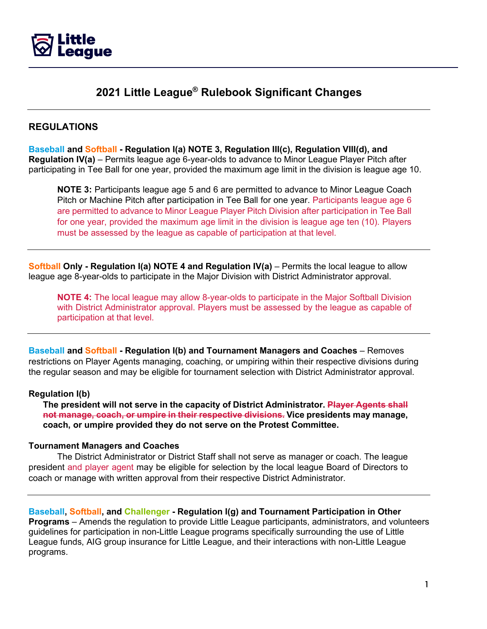

# **2021 Little League® Rulebook Significant Changes**

# **REGULATIONS**

**Baseball and Softball - Regulation I(a) NOTE 3, Regulation III(c), Regulation VIII(d), and Regulation IV(a)** – Permits league age 6-year-olds to advance to Minor League Player Pitch after participating in Tee Ball for one year, provided the maximum age limit in the division is league age 10.

**NOTE 3:** Participants league age 5 and 6 are permitted to advance to Minor League Coach Pitch or Machine Pitch after participation in Tee Ball for one year. Participants league age 6 are permitted to advance to Minor League Player Pitch Division after participation in Tee Ball for one year, provided the maximum age limit in the division is league age ten (10). Players must be assessed by the league as capable of participation at that level.

**Softball Only - Regulation I(a) NOTE 4 and Regulation IV(a)** – Permits the local league to allow league age 8-year-olds to participate in the Major Division with District Administrator approval.

**NOTE 4:** The local league may allow 8-year-olds to participate in the Major Softball Division with District Administrator approval. Players must be assessed by the league as capable of participation at that level.

**Baseball and Softball - Regulation I(b) and Tournament Managers and Coaches** – Removes restrictions on Player Agents managing, coaching, or umpiring within their respective divisions during the regular season and may be eligible for tournament selection with District Administrator approval.

### **Regulation I(b)**

**The president will not serve in the capacity of District Administrator. Player Agents shall not manage, coach, or umpire in their respective divisions. Vice presidents may manage, coach, or umpire provided they do not serve on the Protest Committee.**

### **Tournament Managers and Coaches**

The District Administrator or District Staff shall not serve as manager or coach. The league president and player agent may be eligible for selection by the local league Board of Directors to coach or manage with written approval from their respective District Administrator.

**Baseball, Softball, and Challenger - Regulation I(g) and Tournament Participation in Other Programs** – Amends the regulation to provide Little League participants, administrators, and volunteers guidelines for participation in non-Little League programs specifically surrounding the use of Little League funds, AIG group insurance for Little League, and their interactions with non-Little League programs.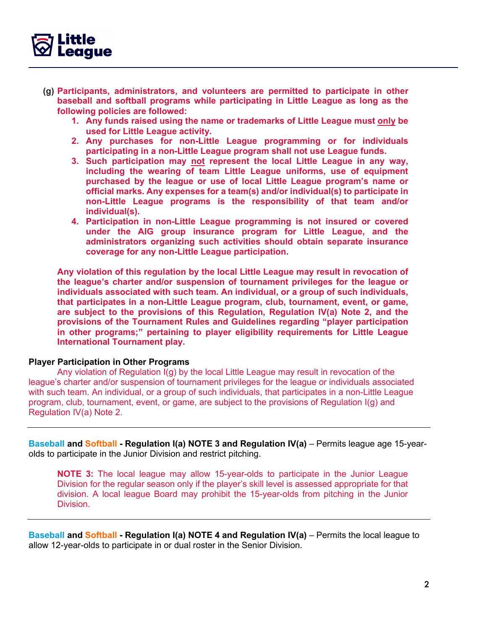

- **(g) Participants, administrators, and volunteers are permitted to participate in other baseball and softball programs while participating in Little League as long as the following policies are followed:**
	- **1. Any funds raised using the name or trademarks of Little League must only be used for Little League activity.**
	- **2. Any purchases for non-Little League programming or for individuals participating in a non-Little League program shall not use League funds.**
	- **3. Such participation may not represent the local Little League in any way, including the wearing of team Little League uniforms, use of equipment purchased by the league or use of local Little League program's name or official marks. Any expenses for a team(s) and/or individual(s) to participate in non-Little League programs is the responsibility of that team and/or individual(s).**
	- **4. Participation in non-Little League programming is not insured or covered under the AIG group insurance program for Little League, and the administrators organizing such activities should obtain separate insurance coverage for any non-Little League participation.**

**Any violation of this regulation by the local Little League may result in revocation of the league's charter and/or suspension of tournament privileges for the league or individuals associated with such team. An individual, or a group of such individuals, that participates in a non-Little League program, club, tournament, event, or game, are subject to the provisions of this Regulation, Regulation IV(a) Note 2, and the provisions of the Tournament Rules and Guidelines regarding "player participation in other programs;" pertaining to player eligibility requirements for Little League International Tournament play.**

### **Player Participation in Other Programs**

Any violation of Regulation I(g) by the local Little League may result in revocation of the league's charter and/or suspension of tournament privileges for the league or individuals associated with such team. An individual, or a group of such individuals, that participates in a non-Little League program, club, tournament, event, or game, are subject to the provisions of Regulation I(g) and Regulation IV(a) Note 2.

**Baseball and Softball - Regulation I(a) NOTE 3 and Regulation IV(a)** – Permits league age 15-yearolds to participate in the Junior Division and restrict pitching.

**NOTE 3:** The local league may allow 15-year-olds to participate in the Junior League Division for the regular season only if the player's skill level is assessed appropriate for that division. A local league Board may prohibit the 15-year-olds from pitching in the Junior Division.

**Baseball and Softball - Regulation I(a) NOTE 4 and Regulation IV(a)** – Permits the local league to allow 12-year-olds to participate in or dual roster in the Senior Division.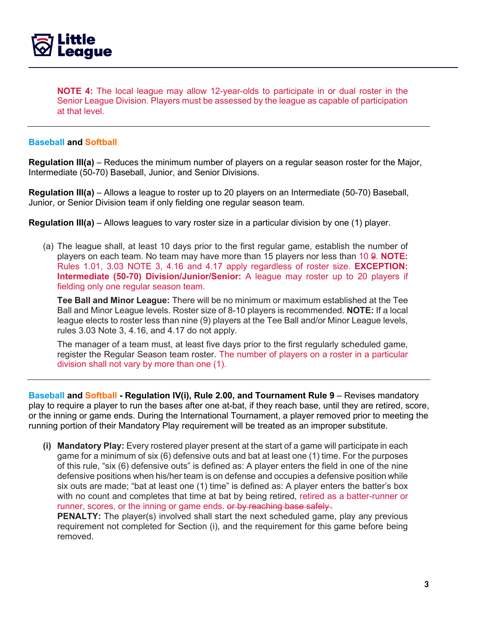

**NOTE 4:** The local league may allow 12-year-olds to participate in or dual roster in the Senior League Division. Players must be assessed by the league as capable of participation at that level.

### **Baseball and Softball**

**Regulation III(a)** – Reduces the minimum number of players on a regular season roster for the Major, Intermediate (50-70) Baseball, Junior, and Senior Divisions.

**Regulation III(a)** – Allows a league to roster up to 20 players on an Intermediate (50-70) Baseball, Junior, or Senior Division team if only fielding one regular season team.

**Regulation III(a)** – Allows leagues to vary roster size in a particular division by one (1) player.

(a) The league shall, at least 10 days prior to the first regular game, establish the number of players on each team. No team may have more than 15 players nor less than 10 9. **NOTE:** Rules 1.01, 3.03 NOTE 3, 4.16 and 4.17 apply regardless of roster size. **EXCEPTION: Intermediate (50-70) Division/Junior/Senior:** A league may roster up to 20 players if fielding only one regular season team.

**Tee Ball and Minor League:** There will be no minimum or maximum established at the Tee Ball and Minor League levels. Roster size of 8-10 players is recommended. **NOTE:** If a local league elects to roster less than nine (9) players at the Tee Ball and/or Minor League levels, rules 3.03 Note 3, 4.16, and 4.17 do not apply.

The manager of a team must, at least five days prior to the first regularly scheduled game, register the Regular Season team roster. The number of players on a roster in a particular division shall not vary by more than one (1).

**Baseball and Softball - Regulation IV(i), Rule 2.00, and Tournament Rule 9** – Revises mandatory play to require a player to run the bases after one at-bat, if they reach base, until they are retired, score, or the inning or game ends. During the International Tournament, a player removed prior to meeting the running portion of their Mandatory Play requirement will be treated as an improper substitute.

**(i) Mandatory Play:** Every rostered player present at the start of a game will participate in each game for a minimum of six (6) defensive outs and bat at least one (1) time. For the purposes of this rule, "six (6) defensive outs" is defined as: A player enters the field in one of the nine defensive positions when his/her team is on defense and occupies a defensive position while six outs are made; "bat at least one (1) time" is defined as: A player enters the batter's box with no count and completes that time at bat by being retired, retired as a batter-runner or runner, scores, or the inning or game ends. or by reaching base safely.

**PENALTY:** The player(s) involved shall start the next scheduled game, play any previous requirement not completed for Section (i), and the requirement for this game before being removed.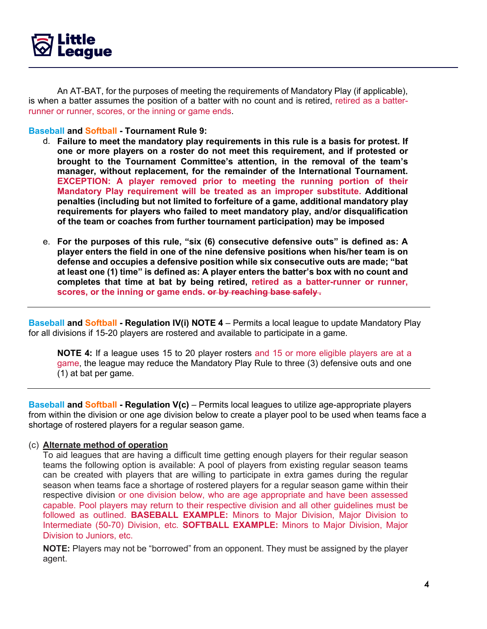

An AT-BAT, for the purposes of meeting the requirements of Mandatory Play (if applicable), is when a batter assumes the position of a batter with no count and is retired, retired as a batterrunner or runner, scores, or the inning or game ends.

### **Baseball and Softball - Tournament Rule 9:**

- d. **Failure to meet the mandatory play requirements in this rule is a basis for protest. If one or more players on a roster do not meet this requirement, and if protested or brought to the Tournament Committee's attention, in the removal of the team's manager, without replacement, for the remainder of the International Tournament. EXCEPTION: A player removed prior to meeting the running portion of their Mandatory Play requirement will be treated as an improper substitute. Additional penalties (including but not limited to forfeiture of a game, additional mandatory play requirements for players who failed to meet mandatory play, and/or disqualification of the team or coaches from further tournament participation) may be imposed**
- e. **For the purposes of this rule, "six (6) consecutive defensive outs" is defined as: A player enters the field in one of the nine defensive positions when his/her team is on defense and occupies a defensive position while six consecutive outs are made; "bat at least one (1) time" is defined as: A player enters the batter's box with no count and completes that time at bat by being retired, retired as a batter-runner or runner, scores, or the inning or game ends. or by reaching base safely .**

**Baseball and Softball - Regulation IV(i) NOTE 4** – Permits a local league to update Mandatory Play for all divisions if 15-20 players are rostered and available to participate in a game.

**NOTE 4:** If a league uses 15 to 20 player rosters and 15 or more eligible players are at a game, the league may reduce the Mandatory Play Rule to three (3) defensive outs and one (1) at bat per game.

**Baseball and Softball - Regulation V(c)** – Permits local leagues to utilize age-appropriate players from within the division or one age division below to create a player pool to be used when teams face a shortage of rostered players for a regular season game.

### (c) **Alternate method of operation**

To aid leagues that are having a difficult time getting enough players for their regular season teams the following option is available: A pool of players from existing regular season teams can be created with players that are willing to participate in extra games during the regular season when teams face a shortage of rostered players for a regular season game within their respective division or one division below, who are age appropriate and have been assessed capable. Pool players may return to their respective division and all other guidelines must be followed as outlined. **BASEBALL EXAMPLE:** Minors to Major Division, Major Division to Intermediate (50-70) Division, etc. **SOFTBALL EXAMPLE:** Minors to Major Division, Major Division to Juniors, etc.

**NOTE:** Players may not be "borrowed" from an opponent. They must be assigned by the player agent.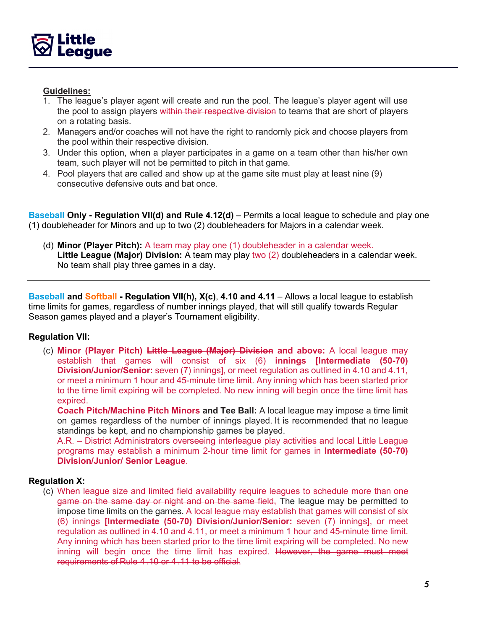

# **Guidelines:**

- 1. The league's player agent will create and run the pool. The league's player agent will use the pool to assign players within their respective division to teams that are short of players on a rotating basis.
- 2. Managers and/or coaches will not have the right to randomly pick and choose players from the pool within their respective division.
- 3. Under this option, when a player participates in a game on a team other than his/her own team, such player will not be permitted to pitch in that game.
- 4. Pool players that are called and show up at the game site must play at least nine (9) consecutive defensive outs and bat once.

**Baseball Only - Regulation VII(d) and Rule 4.12(d)** – Permits a local league to schedule and play one (1) doubleheader for Minors and up to two (2) doubleheaders for Majors in a calendar week.

(d) **Minor (Player Pitch):** A team may play one (1) doubleheader in a calendar week. **Little League (Major) Division:** A team may play two (2) doubleheaders in a calendar week. No team shall play three games in a day.

**Baseball and Softball - Regulation VII(h), X(c)**, **4.10 and 4.11** – Allows a local league to establish time limits for games, regardless of number innings played, that will still qualify towards Regular Season games played and a player's Tournament eligibility.

# **Regulation VII:**

(c) **Minor (Player Pitch) Little League (Major) Division and above:** A local league may establish that games will consist of six (6) **innings [Intermediate (50-70) Division/Junior/Senior:** seven (7) innings], or meet regulation as outlined in 4.10 and 4.11, or meet a minimum 1 hour and 45-minute time limit. Any inning which has been started prior to the time limit expiring will be completed. No new inning will begin once the time limit has expired.

**Coach Pitch/Machine Pitch Minors and Tee Ball:** A local league may impose a time limit on games regardless of the number of innings played. It is recommended that no league standings be kept, and no championship games be played.

A.R. – District Administrators overseeing interleague play activities and local Little League programs may establish a minimum 2-hour time limit for games in **Intermediate (50-70) Division/Junior/ Senior League**.

### **Regulation X:**

(c) When league size and limited field availability require leagues to schedule more than one game on the same day or night and on the same field. The league may be permitted to impose time limits on the games. A local league may establish that games will consist of six (6) innings **[Intermediate (50-70) Division/Junior/Senior:** seven (7) innings], or meet regulation as outlined in 4.10 and 4.11, or meet a minimum 1 hour and 45-minute time limit. Any inning which has been started prior to the time limit expiring will be completed. No new inning will begin once the time limit has expired. However, the game must meet requirements of Rule 4 .10 or 4 .11 to be official.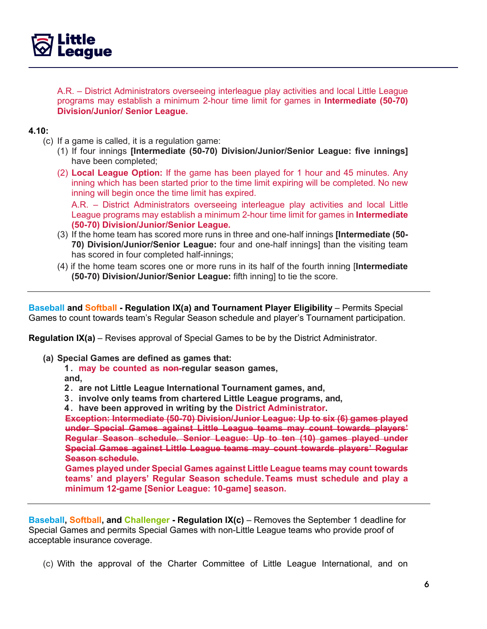

A.R. – District Administrators overseeing interleague play activities and local Little League programs may establish a minimum 2-hour time limit for games in **Intermediate (50-70) Division/Junior/ Senior League.**

### **4.10:**

- (c) If a game is called, it is a regulation game:
	- (1) If four innings **[Intermediate (50-70) Division/Junior/Senior League: five innings]** have been completed;
	- (2) **Local League Option:** If the game has been played for 1 hour and 45 minutes. Any inning which has been started prior to the time limit expiring will be completed. No new inning will begin once the time limit has expired.

A.R. – District Administrators overseeing interleague play activities and local Little League programs may establish a minimum 2-hour time limit for games in **Intermediate (50-70) Division/Junior/Senior League.**

- (3) If the home team has scored more runs in three and one-half innings **[Intermediate (50- 70) Division/Junior/Senior League:** four and one-half innings] than the visiting team has scored in four completed half-innings;
- (4) if the home team scores one or more runs in its half of the fourth inning [**Intermediate (50-70) Division/Junior/Senior League:** fifth inning] to tie the score.

**Baseball and Softball - Regulation IX(a) and Tournament Player Eligibility** – Permits Special Games to count towards team's Regular Season schedule and player's Tournament participation.

**Regulation IX(a)** – Revises approval of Special Games to be by the District Administrator.

- **(a) Special Games are defined as games that:** 
	- **1 . may be counted as non-regular season games,**

**and,**

- **2 . are not Little League International Tournament games, and,**
- **3 . involve only teams from chartered Little League programs, and,**
- **4 . have been approved in writing by the District Administrator.**

**Exception: Intermediate (50-70) Division/Junior League: Up to six (6) games played under Special Games against Little League teams may count towards players' Regular Season schedule. Senior League: Up to ten (10) games played under Special Games against Little League teams may count towards players' Regular Season schedule.**

**Games played under Special Games against Little League teams may count towards teams' and players' Regular Season schedule. Teams must schedule and play a minimum 12-game [Senior League: 10-game] season.**

**Baseball, Softball, and Challenger - Regulation IX(c)** – Removes the September 1 deadline for Special Games and permits Special Games with non-Little League teams who provide proof of acceptable insurance coverage.

(c) With the approval of the Charter Committee of Little League International, and on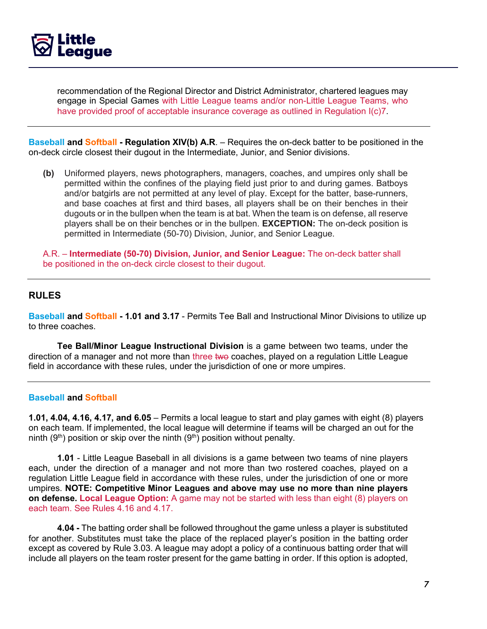

recommendation of the Regional Director and District Administrator, chartered leagues may engage in Special Games with Little League teams and/or non-Little League Teams, who have provided proof of acceptable insurance coverage as outlined in Regulation I(c)7.

**Baseball and Softball - Regulation XIV(b) A.R**. – Requires the on-deck batter to be positioned in the on-deck circle closest their dugout in the Intermediate, Junior, and Senior divisions.

**(b)** Uniformed players, news photographers, managers, coaches, and umpires only shall be permitted within the confines of the playing field just prior to and during games. Batboys and/or batgirls are not permitted at any level of play. Except for the batter, base-runners, and base coaches at first and third bases, all players shall be on their benches in their dugouts or in the bullpen when the team is at bat. When the team is on defense, all reserve players shall be on their benches or in the bullpen. **EXCEPTION:** The on-deck position is permitted in Intermediate (50-70) Division, Junior, and Senior League.

A.R. – **Intermediate (50-70) Division, Junior, and Senior League:** The on-deck batter shall be positioned in the on-deck circle closest to their dugout.

# **RULES**

**Baseball and Softball - 1.01 and 3.17** - Permits Tee Ball and Instructional Minor Divisions to utilize up to three coaches.

**Tee Ball/Minor League Instructional Division** is a game between two teams, under the direction of a manager and not more than three two coaches, played on a regulation Little League field in accordance with these rules, under the jurisdiction of one or more umpires.

### **Baseball and Softball**

**1.01, 4.04, 4.16, 4.17, and 6.05** – Permits a local league to start and play games with eight (8) players on each team. If implemented, the local league will determine if teams will be charged an out for the ninth (9<sup>th</sup>) position or skip over the ninth (9<sup>th</sup>) position without penalty.

**1.01** - Little League Baseball in all divisions is a game between two teams of nine players each, under the direction of a manager and not more than two rostered coaches, played on a regulation Little League field in accordance with these rules, under the jurisdiction of one or more umpires. **NOTE: Competitive Minor Leagues and above may use no more than nine players on defense. Local League Option:** A game may not be started with less than eight (8) players on each team. See Rules 4.16 and 4.17.

**4.04 -** The batting order shall be followed throughout the game unless a player is substituted for another. Substitutes must take the place of the replaced player's position in the batting order except as covered by Rule 3.03. A league may adopt a policy of a continuous batting order that will include all players on the team roster present for the game batting in order. If this option is adopted,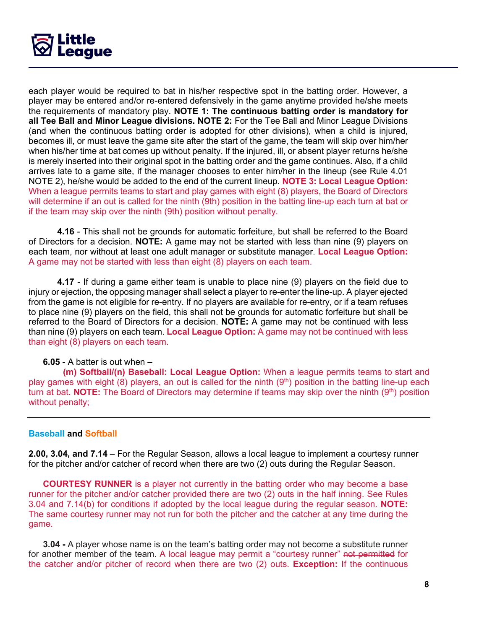

each player would be required to bat in his/her respective spot in the batting order. However, a player may be entered and/or re-entered defensively in the game anytime provided he/she meets the requirements of mandatory play. **NOTE 1: The continuous batting order is mandatory for all Tee Ball and Minor League divisions. NOTE 2:** For the Tee Ball and Minor League Divisions (and when the continuous batting order is adopted for other divisions), when a child is injured, becomes ill, or must leave the game site after the start of the game, the team will skip over him/her when his/her time at bat comes up without penalty. If the injured, ill, or absent player returns he/she is merely inserted into their original spot in the batting order and the game continues. Also, if a child arrives late to a game site, if the manager chooses to enter him/her in the lineup (see Rule 4.01 NOTE 2), he/she would be added to the end of the current lineup. **NOTE 3: Local League Option:**  When a league permits teams to start and play games with eight (8) players, the Board of Directors will determine if an out is called for the ninth (9th) position in the batting line-up each turn at bat or if the team may skip over the ninth (9th) position without penalty.

**4.16** - This shall not be grounds for automatic forfeiture, but shall be referred to the Board of Directors for a decision. **NOTE:** A game may not be started with less than nine (9) players on each team, nor without at least one adult manager or substitute manager. **Local League Option:** A game may not be started with less than eight (8) players on each team.

**4.17** - If during a game either team is unable to place nine (9) players on the field due to injury or ejection, the opposing manager shall select a player to re-enter the line-up. A player ejected from the game is not eligible for re-entry. If no players are available for re-entry, or if a team refuses to place nine (9) players on the field, this shall not be grounds for automatic forfeiture but shall be referred to the Board of Directors for a decision. **NOTE:** A game may not be continued with less than nine (9) players on each team. **Local League Option:** A game may not be continued with less than eight (8) players on each team.

### **6.05** - A batter is out when –

 **(m) Softball/(n) Baseball: Local League Option:** When a league permits teams to start and play games with eight  $(8)$  players, an out is called for the ninth  $(9<sup>th</sup>)$  position in the batting line-up each turn at bat. **NOTE:** The Board of Directors may determine if teams may skip over the ninth (9<sup>th</sup>) position without penalty;

### **Baseball and Softball**

**2.00, 3.04, and 7.14** – For the Regular Season, allows a local league to implement a courtesy runner for the pitcher and/or catcher of record when there are two (2) outs during the Regular Season.

**COURTESY RUNNER** is a player not currently in the batting order who may become a base runner for the pitcher and/or catcher provided there are two (2) outs in the half inning. See Rules 3.04 and 7.14(b) for conditions if adopted by the local league during the regular season. **NOTE:**  The same courtesy runner may not run for both the pitcher and the catcher at any time during the game.

**3.04 -** A player whose name is on the team's batting order may not become a substitute runner for another member of the team. A local league may permit a "courtesy runner" not permitted for the catcher and/or pitcher of record when there are two (2) outs. **Exception:** If the continuous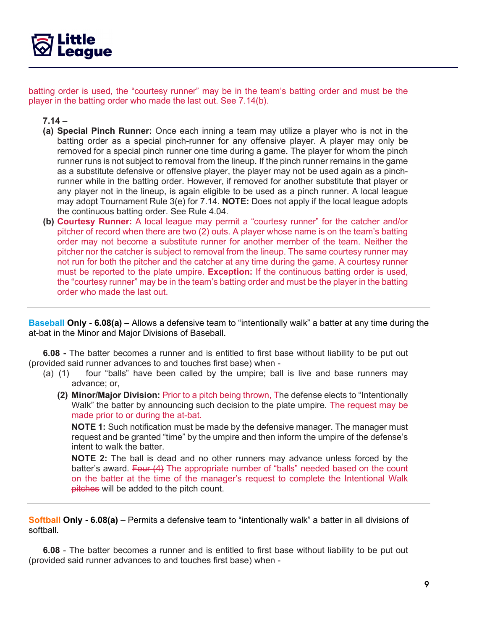

batting order is used, the "courtesy runner" may be in the team's batting order and must be the player in the batting order who made the last out. See 7.14(b).

**7.14 –**

- **(a) Special Pinch Runner:** Once each inning a team may utilize a player who is not in the batting order as a special pinch-runner for any offensive player. A player may only be removed for a special pinch runner one time during a game. The player for whom the pinch runner runs is not subject to removal from the lineup. If the pinch runner remains in the game as a substitute defensive or offensive player, the player may not be used again as a pinchrunner while in the batting order. However, if removed for another substitute that player or any player not in the lineup, is again eligible to be used as a pinch runner. A local league may adopt Tournament Rule 3(e) for 7.14. **NOTE:** Does not apply if the local league adopts the continuous batting order. See Rule 4.04.
- **(b) Courtesy Runner:** A local league may permit a "courtesy runner" for the catcher and/or pitcher of record when there are two (2) outs. A player whose name is on the team's batting order may not become a substitute runner for another member of the team. Neither the pitcher nor the catcher is subject to removal from the lineup. The same courtesy runner may not run for both the pitcher and the catcher at any time during the game. A courtesy runner must be reported to the plate umpire. **Exception:** If the continuous batting order is used, the "courtesy runner" may be in the team's batting order and must be the player in the batting order who made the last out.

**Baseball Only - 6.08(a)** – Allows a defensive team to "intentionally walk" a batter at any time during the at-bat in the Minor and Major Divisions of Baseball.

**6.08 -** The batter becomes a runner and is entitled to first base without liability to be put out (provided said runner advances to and touches first base) when -

- (a) (1) four "balls" have been called by the umpire; ball is live and base runners may advance; or,
	- **(2) Minor/Major Division:** Prior to a pitch being thrown, The defense elects to "Intentionally Walk" the batter by announcing such decision to the plate umpire. The request may be made prior to or during the at-bat.

**NOTE 1:** Such notification must be made by the defensive manager. The manager must request and be granted "time" by the umpire and then inform the umpire of the defense's intent to walk the batter.

**NOTE 2:** The ball is dead and no other runners may advance unless forced by the batter's award. Four (4) The appropriate number of "balls" needed based on the count on the batter at the time of the manager's request to complete the Intentional Walk pitches will be added to the pitch count.

**Softball Only - 6.08(a)** – Permits a defensive team to "intentionally walk" a batter in all divisions of softball.

**6.08** - The batter becomes a runner and is entitled to first base without liability to be put out (provided said runner advances to and touches first base) when -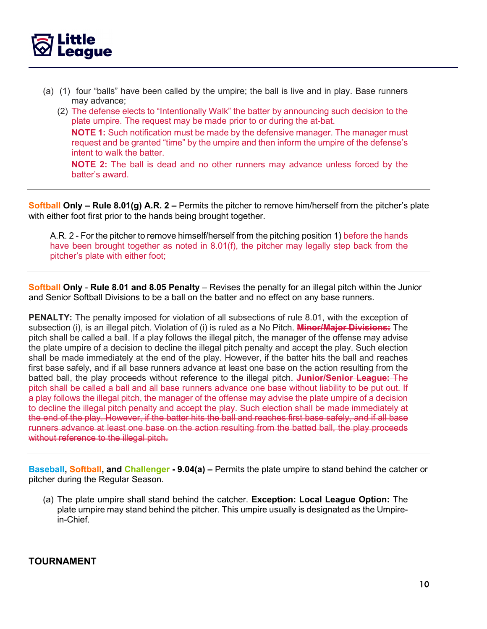

- (a) (1) four "balls" have been called by the umpire; the ball is live and in play. Base runners may advance;
	- (2) The defense elects to "Intentionally Walk" the batter by announcing such decision to the plate umpire. The request may be made prior to or during the at-bat. **NOTE 1:** Such notification must be made by the defensive manager. The manager must request and be granted "time" by the umpire and then inform the umpire of the defense's intent to walk the batter.

**NOTE 2:** The ball is dead and no other runners may advance unless forced by the batter's award.

**Softball Only – Rule 8.01(g) A.R. 2 –** Permits the pitcher to remove him/herself from the pitcher's plate with either foot first prior to the hands being brought together.

A.R. 2 - For the pitcher to remove himself/herself from the pitching position 1) before the hands have been brought together as noted in 8.01(f), the pitcher may legally step back from the pitcher's plate with either foot;

**Softball Only** - **Rule 8.01 and 8.05 Penalty** – Revises the penalty for an illegal pitch within the Junior and Senior Softball Divisions to be a ball on the batter and no effect on any base runners.

**PENALTY:** The penalty imposed for violation of all subsections of rule 8.01, with the exception of subsection (i), is an illegal pitch. Violation of (i) is ruled as a No Pitch. **Minor/Major Divisions:** The pitch shall be called a ball. If a play follows the illegal pitch, the manager of the offense may advise the plate umpire of a decision to decline the illegal pitch penalty and accept the play. Such election shall be made immediately at the end of the play. However, if the batter hits the ball and reaches first base safely, and if all base runners advance at least one base on the action resulting from the batted ball, the play proceeds without reference to the illegal pitch. **Junior/Senior League:** The pitch shall be called a ball and all base runners advance one base without liability to be put out. If a play follows the illegal pitch, the manager of the offense may advise the plate umpire of a decision to decline the illegal pitch penalty and accept the play. Such election shall be made immediately at the end of the play. However, if the batter hits the ball and reaches first base safely, and if all base runners advance at least one base on the action resulting from the batted ball, the play proceeds without reference to the illegal pitch.

**Baseball, Softball, and Challenger - 9.04(a) –** Permits the plate umpire to stand behind the catcher or pitcher during the Regular Season.

(a) The plate umpire shall stand behind the catcher. **Exception: Local League Option:** The plate umpire may stand behind the pitcher. This umpire usually is designated as the Umpirein-Chief.

**TOURNAMENT**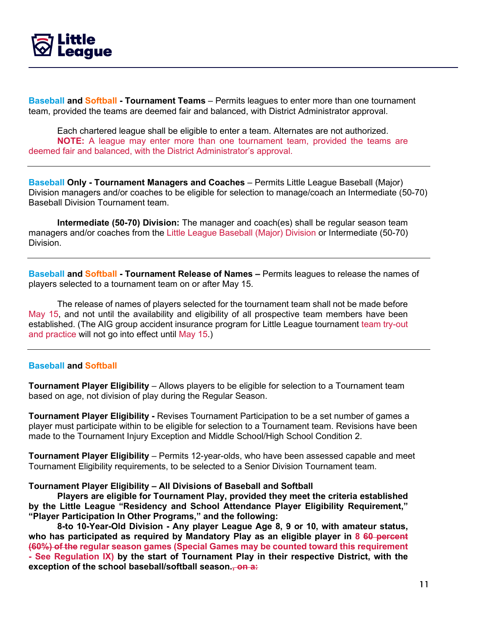

**Baseball and Softball - Tournament Teams** – Permits leagues to enter more than one tournament team, provided the teams are deemed fair and balanced, with District Administrator approval.

Each chartered league shall be eligible to enter a team. Alternates are not authorized. **NOTE:** A league may enter more than one tournament team, provided the teams are deemed fair and balanced, with the District Administrator's approval.

**Baseball Only - Tournament Managers and Coaches** – Permits Little League Baseball (Major) Division managers and/or coaches to be eligible for selection to manage/coach an Intermediate (50-70) Baseball Division Tournament team.

**Intermediate (50-70) Division:** The manager and coach(es) shall be regular season team managers and/or coaches from the Little League Baseball (Major) Division or Intermediate (50-70) Division.

**Baseball and Softball - Tournament Release of Names –** Permits leagues to release the names of players selected to a tournament team on or after May 15.

The release of names of players selected for the tournament team shall not be made before May 15, and not until the availability and eligibility of all prospective team members have been established. (The AIG group accident insurance program for Little League tournament team try-out and practice will not go into effect until May 15.)

### **Baseball and Softball**

**Tournament Player Eligibility** – Allows players to be eligible for selection to a Tournament team based on age, not division of play during the Regular Season.

**Tournament Player Eligibility -** Revises Tournament Participation to be a set number of games a player must participate within to be eligible for selection to a Tournament team. Revisions have been made to the Tournament Injury Exception and Middle School/High School Condition 2.

**Tournament Player Eligibility** – Permits 12-year-olds, who have been assessed capable and meet Tournament Eligibility requirements, to be selected to a Senior Division Tournament team.

#### **Tournament Player Eligibility – All Divisions of Baseball and Softball**

**Players are eligible for Tournament Play, provided they meet the criteria established by the Little League "Residency and School Attendance Player Eligibility Requirement," "Player Participation In Other Programs," and the following:**

**8-to 10-Year-Old Division - Any player League Age 8, 9 or 10, with amateur status, who has participated as required by Mandatory Play as an eligible player in 8 60 percent (60%) of the regular season games (Special Games may be counted toward this requirement - See Regulation IX) by the start of Tournament Play in their respective District, with the exception of the school baseball/softball season., on a:**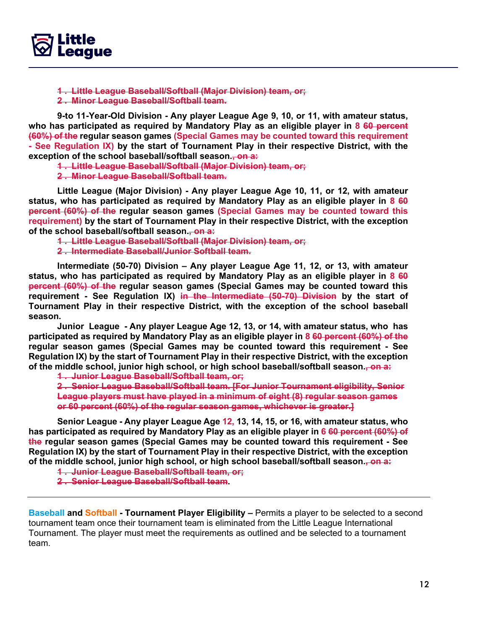

**1 . Little League Baseball/Softball (Major Division) team, or;** 

**2 . Minor League Baseball/Softball team.**

**9-to 11-Year-Old Division - Any player League Age 9, 10, or 11, with amateur status, who has participated as required by Mandatory Play as an eligible player in 8 60 percent (60%) of the regular season games (Special Games may be counted toward this requirement - See Regulation IX) by the start of Tournament Play in their respective District, with the exception of the school baseball/softball season., on a:**

**1 . Little League Baseball/Softball (Major Division) team, or;** 

**2 . Minor League Baseball/Softball team.**

**Little League (Major Division) - Any player League Age 10, 11, or 12, with amateur status, who has participated as required by Mandatory Play as an eligible player in 8 60 percent (60%) of the regular season games (Special Games may be counted toward this requirement) by the start of Tournament Play in their respective District, with the exception of the school baseball/softball season., on a:**

**1 . Little League Baseball/Softball (Major Division) team, or; 2 . Intermediate Baseball/Junior Softball team.**

**Intermediate (50-70) Division – Any player League Age 11, 12, or 13, with amateur status, who has participated as required by Mandatory Play as an eligible player in 8 60 percent (60%) of the regular season games (Special Games may be counted toward this requirement - See Regulation IX) in the Intermediate (50-70) Division by the start of Tournament Play in their respective District, with the exception of the school baseball season.**

**Junior League - Any player League Age 12, 13, or 14, with amateur status, who has participated as required by Mandatory Play as an eligible player in 8 60 percent (60%) of the regular season games (Special Games may be counted toward this requirement - See Regulation IX) by the start of Tournament Play in their respective District, with the exception of the middle school, junior high school, or high school baseball/softball season., on a:**

**1 . Junior League Baseball/Softball team, or;**

**2 . Senior League Baseball/Softball team. [For Junior Tournament eligibility, Senior League players must have played in a minimum of eight (8) regular season games or 60 percent (60%) of the regular season games, whichever is greater.]**

**Senior League - Any player League Age 12, 13, 14, 15, or 16, with amateur status, who has participated as required by Mandatory Play as an eligible player in 6 60 percent (60%) of the regular season games (Special Games may be counted toward this requirement - See Regulation IX) by the start of Tournament Play in their respective District, with the exception of the middle school, junior high school, or high school baseball/softball season., on a:**

**1 . Junior League Baseball/Softball team, or;** 

**2 . Senior League Baseball/Softball team.**

**Baseball and Softball - Tournament Player Eligibility –** Permits a player to be selected to a second tournament team once their tournament team is eliminated from the Little League International Tournament. The player must meet the requirements as outlined and be selected to a tournament team.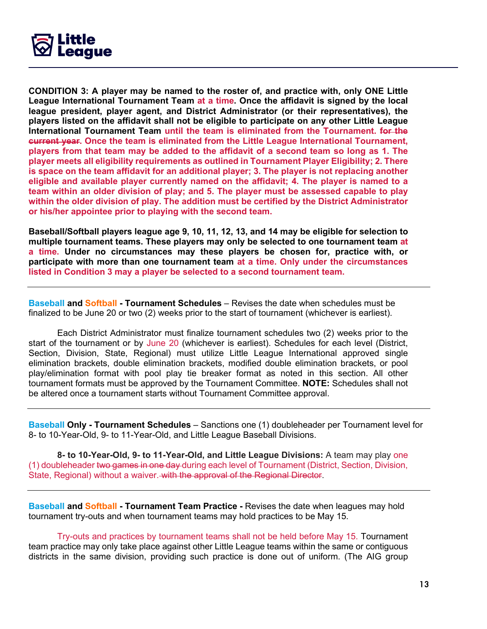

**CONDITION 3: A player may be named to the roster of, and practice with, only ONE Little League International Tournament Team at a time. Once the affidavit is signed by the local league president, player agent, and District Administrator (or their representatives), the players listed on the affidavit shall not be eligible to participate on any other Little League International Tournament Team until the team is eliminated from the Tournament. for the current year. Once the team is eliminated from the Little League International Tournament, players from that team may be added to the affidavit of a second team so long as 1. The player meets all eligibility requirements as outlined in Tournament Player Eligibility; 2. There is space on the team affidavit for an additional player; 3. The player is not replacing another eligible and available player currently named on the affidavit; 4. The player is named to a team within an older division of play; and 5. The player must be assessed capable to play within the older division of play. The addition must be certified by the District Administrator or his/her appointee prior to playing with the second team.**

**Baseball/Softball players league age 9, 10, 11, 12, 13, and 14 may be eligible for selection to multiple tournament teams. These players may only be selected to one tournament team at a time. Under no circumstances may these players be chosen for, practice with, or participate with more than one tournament team at a time. Only under the circumstances listed in Condition 3 may a player be selected to a second tournament team.**

**Baseball and Softball - Tournament Schedules** – Revises the date when schedules must be finalized to be June 20 or two (2) weeks prior to the start of tournament (whichever is earliest).

Each District Administrator must finalize tournament schedules two (2) weeks prior to the start of the tournament or by June 20 (whichever is earliest). Schedules for each level (District, Section, Division, State, Regional) must utilize Little League International approved single elimination brackets, double elimination brackets, modified double elimination brackets, or pool play/elimination format with pool play tie breaker format as noted in this section. All other tournament formats must be approved by the Tournament Committee. **NOTE:** Schedules shall not be altered once a tournament starts without Tournament Committee approval.

**Baseball Only - Tournament Schedules** – Sanctions one (1) doubleheader per Tournament level for 8- to 10-Year-Old, 9- to 11-Year-Old, and Little League Baseball Divisions.

**8- to 10-Year-Old, 9- to 11-Year-Old, and Little League Divisions:** A team may play one (1) doubleheader two games in one day during each level of Tournament (District, Section, Division, State, Regional) without a waiver. with the approval of the Regional Director.

**Baseball and Softball - Tournament Team Practice -** Revises the date when leagues may hold tournament try-outs and when tournament teams may hold practices to be May 15.

Try-outs and practices by tournament teams shall not be held before May 15. Tournament team practice may only take place against other Little League teams within the same or contiguous districts in the same division, providing such practice is done out of uniform. (The AIG group